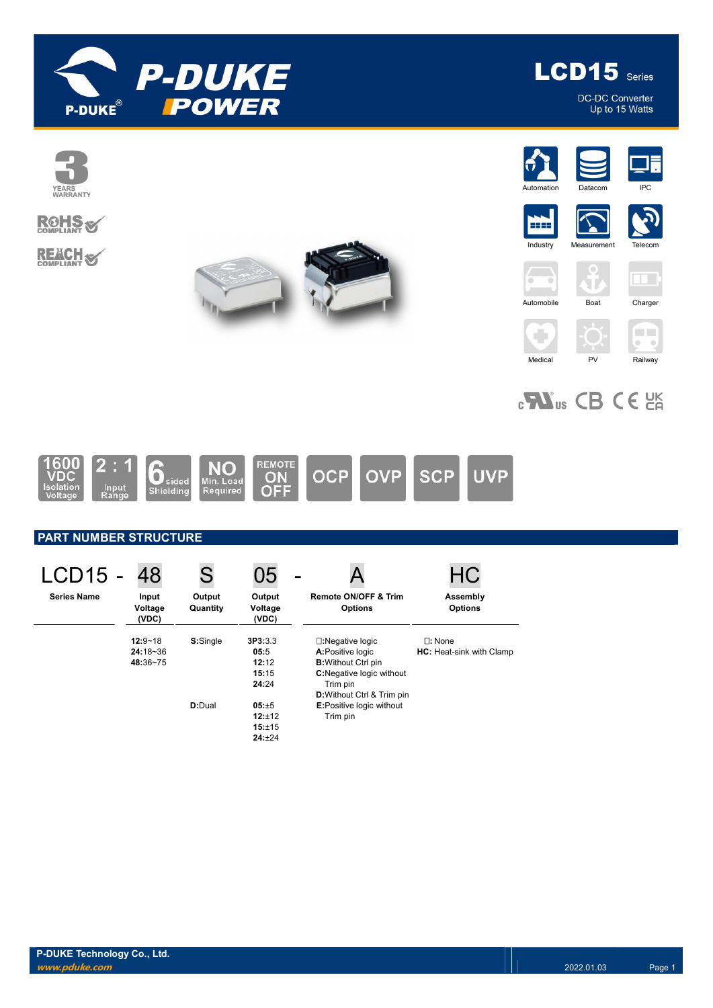

LCD15 Series

DC-DC Converter<br>Up to 15 Watts





**REACH S** 







5555 **Industry** 







# $_{c}$ Nus CB CE  $_{c}$

Medical PV Railway



## PART NUMBER STRUCTURE

| LCD15 -            | 48                                      | S                  | 05                                         |                                                                                                                      | AO.                                              |
|--------------------|-----------------------------------------|--------------------|--------------------------------------------|----------------------------------------------------------------------------------------------------------------------|--------------------------------------------------|
| <b>Series Name</b> | Input<br>Voltage<br>(VDC)               | Output<br>Quantity | Output<br>Voltage<br>(VDC)                 | <b>Remote ON/OFF &amp; Trim</b><br><b>Options</b>                                                                    | Assembly<br><b>Options</b>                       |
|                    | $12:9 - 18$<br>$24:18 - 36$<br>48:36~75 | S:Single           | 3P3:3.3<br>05:5<br>12:12<br>15:15<br>24:24 | $\square$ : Negative logic<br>A:Positive logic<br><b>B:</b> Without Ctrl pin<br>C:Negative logic without<br>Trim pin | $\Box$ : None<br><b>HC:</b> Heat-sink with Clamp |
|                    |                                         | D:Dual             | 05:±5<br>12:±12<br>15:±15<br>24:±24        | D: Without Ctrl & Trim pin<br><b>E:Positive logic without</b><br>Trim pin                                            |                                                  |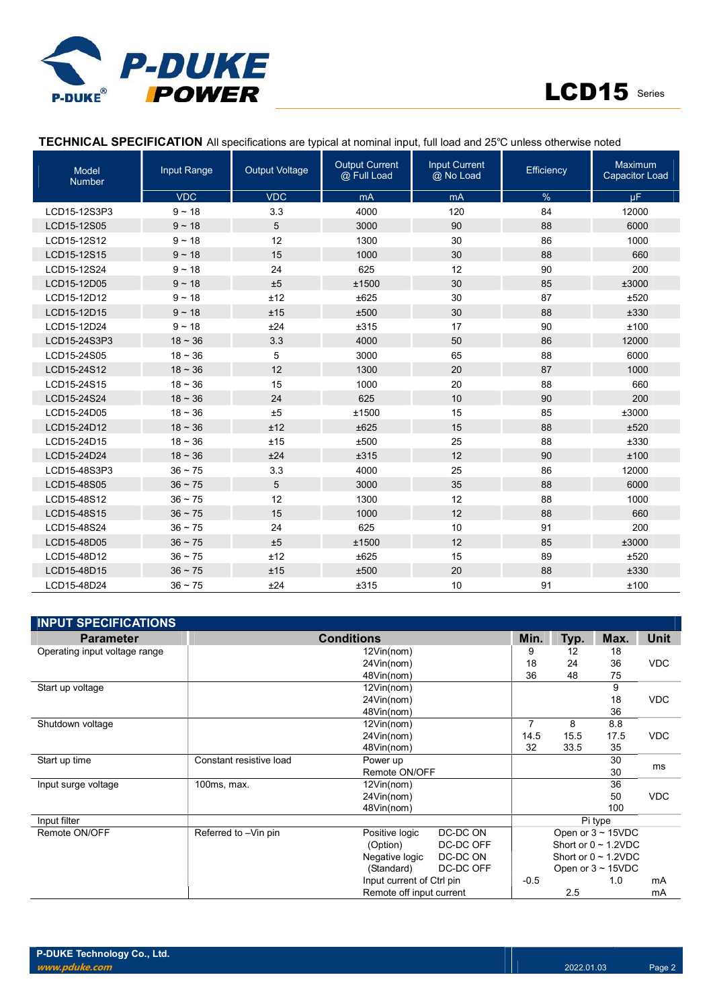



## TECHNICAL SPECIFICATION All specifications are typical at nominal input, full load and 25℃ unless otherwise noted

| <b>Model</b><br><b>Number</b> | Input Range  | <b>Output Voltage</b> | <b>Output Current</b><br>@ Full Load | <b>Input Current</b><br>@ No Load | Efficiency | Maximum<br><b>Capacitor Load</b> |
|-------------------------------|--------------|-----------------------|--------------------------------------|-----------------------------------|------------|----------------------------------|
|                               | <b>VDC</b>   | <b>VDC</b>            | mA                                   | mA                                | $\%$       | $\mu$ F                          |
| LCD15-12S3P3                  | $9 - 18$     | 3.3                   | 4000                                 | 120                               | 84         | 12000                            |
| LCD15-12S05                   | $9 - 18$     | 5                     | 3000                                 | 90                                | 88         | 6000                             |
| LCD15-12S12                   | $9 - 18$     | 12                    | 1300                                 | 30                                | 86         | 1000                             |
| LCD15-12S15                   | $9 - 18$     | 15                    | 1000                                 | 30                                | 88         | 660                              |
| LCD15-12S24                   | $9 - 18$     | 24                    | 625                                  | 12                                | 90         | 200                              |
| LCD15-12D05                   | $9 - 18$     | ±5                    | ±1500                                | 30                                | 85         | ±3000                            |
| LCD15-12D12                   | $9 - 18$     | ±12                   | ±625                                 | 30                                | 87         | ±520                             |
| LCD15-12D15                   | $9 - 18$     | ±15                   | ±500                                 | 30                                | 88         | ±330                             |
| LCD15-12D24                   | $9 - 18$     | ±24                   | ±315                                 | 17                                | 90         | ±100                             |
| LCD15-24S3P3                  | $18 - 36$    | 3.3                   | 4000                                 | 50                                | 86         | 12000                            |
| LCD15-24S05                   | $18 - 36$    | 5                     | 3000                                 | 65                                | 88         | 6000                             |
| LCD15-24S12                   | $18 - 36$    | 12                    | 1300                                 | 20                                | 87         | 1000                             |
| LCD15-24S15                   | $18 - 36$    | 15                    | 1000                                 | 20                                | 88         | 660                              |
| LCD15-24S24                   | $18 - 36$    | 24                    | 625                                  | 10                                | 90         | 200                              |
| LCD15-24D05                   | $18 - 36$    | ±5                    | ±1500                                | 15                                | 85         | ±3000                            |
| LCD15-24D12                   | $18 - 36$    | ±12                   | ±625                                 | 15                                | 88         | ±520                             |
| LCD15-24D15                   | $18 - 36$    | ±15                   | ±500                                 | 25                                | 88         | ±330                             |
| LCD15-24D24                   | $18 - 36$    | ±24                   | ±315                                 | 12                                | 90         | ±100                             |
| LCD15-48S3P3                  | $36 \sim 75$ | 3.3                   | 4000                                 | 25                                | 86         | 12000                            |
| LCD15-48S05                   | $36 \sim 75$ | 5                     | 3000                                 | 35                                | 88         | 6000                             |
| LCD15-48S12                   | $36 \sim 75$ | 12                    | 1300                                 | 12                                | 88         | 1000                             |
| LCD15-48S15                   | $36 \sim 75$ | 15                    | 1000                                 | 12                                | 88         | 660                              |
| LCD15-48S24                   | $36 \sim 75$ | 24                    | 625                                  | 10                                | 91         | 200                              |
| LCD15-48D05                   | $36 \sim 75$ | ±5                    | ±1500                                | 12                                | 85         | ±3000                            |
| LCD15-48D12                   | $36 \sim 75$ | ±12                   | ±625                                 | 15                                | 89         | ±520                             |
| LCD15-48D15                   | $36 \sim 75$ | ±15                   | ±500                                 | 20                                | 88         | ±330                             |
| LCD15-48D24                   | $36 \sim 75$ | ±24                   | ±315                                 | 10                                | 91         | ±100                             |

| <b>INPUT SPECIFICATIONS</b>   |                         |                           |           |                |            |                           |            |
|-------------------------------|-------------------------|---------------------------|-----------|----------------|------------|---------------------------|------------|
| <b>Parameter</b>              |                         | Min.                      | Typ.      | Max.           | Unit       |                           |            |
| Operating input voltage range |                         | $12$ Vin(nom)             |           | 9              | 12         | 18                        |            |
|                               |                         | 24Vin(nom)                |           | 18             | 24         | 36                        | <b>VDC</b> |
|                               |                         | 48Vin(nom)                |           | 36             | 48         | 75                        |            |
| Start up voltage              |                         | 12Vin(nom)                |           |                |            | 9                         |            |
|                               |                         | 24Vin(nom)                |           |                |            | 18                        | <b>VDC</b> |
|                               |                         | 48Vin(nom)                |           |                |            | 36                        |            |
| Shutdown voltage              |                         | 12Vin(nom)                |           | $\overline{7}$ | 8          | 8.8                       |            |
|                               |                         | 14.5                      | 15.5      | 17.5           | <b>VDC</b> |                           |            |
|                               |                         | 32                        | 33.5      | 35             |            |                           |            |
| Start up time                 | Constant resistive load | Power up                  |           |                |            | 30                        | ms         |
|                               |                         |                           |           | 30             |            |                           |            |
| Input surge voltage           | $100ms$ , max.          | 12Vin(nom)                |           |                |            | 36                        |            |
|                               |                         | 24Vin(nom)                |           |                |            | <b>VDC</b><br>50          |            |
|                               |                         | 48Vin(nom)                |           |                |            | 100                       |            |
| Input filter                  |                         |                           |           |                |            | Pi type                   |            |
| Remote ON/OFF                 | Referred to -Vin pin    | Positive logic            | DC-DC ON  |                |            | Open or $3 \sim 15$ VDC   |            |
|                               |                         | (Option)                  | DC-DC OFF |                |            | Short or $0 \sim 1.2$ VDC |            |
|                               |                         | Negative logic            | DC-DC ON  |                |            | Short or $0 \sim 1.2$ VDC |            |
|                               |                         | (Standard)                | DC-DC OFF |                |            | Open or $3 \sim 15$ VDC   |            |
|                               |                         | Input current of Ctrl pin |           | $-0.5$         |            | 1.0                       | mA         |
|                               |                         | Remote off input current  |           |                | 2.5        |                           | mA         |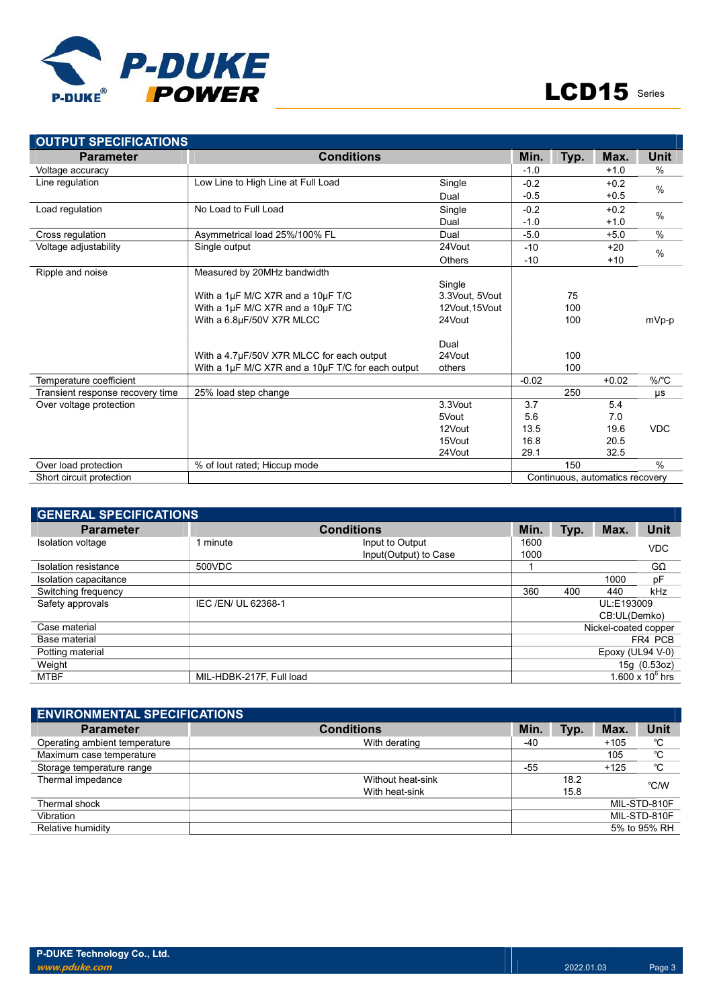

| <b>OUTPUT SPECIFICATIONS</b>     |                                                   |                |                                 |      |         |               |
|----------------------------------|---------------------------------------------------|----------------|---------------------------------|------|---------|---------------|
| <b>Parameter</b>                 | <b>Conditions</b>                                 |                | Min.                            | Typ. | Max.    | Unit          |
| Voltage accuracy                 |                                                   |                | $-1.0$                          |      | $+1.0$  | $\%$          |
| Line regulation                  | Low Line to High Line at Full Load                | Single         | $-0.2$                          |      | $+0.2$  |               |
|                                  |                                                   | Dual           | $-0.5$                          |      | $+0.5$  | $\%$          |
| Load regulation                  | No Load to Full Load                              | Single         | $-0.2$                          |      | $+0.2$  |               |
|                                  |                                                   | Dual           | $-1.0$                          |      | $+1.0$  | $\%$          |
| Cross regulation                 | Asymmetrical load 25%/100% FL                     | Dual           | $-5.0$                          |      | $+5.0$  | $\%$          |
| Voltage adjustability            | Single output                                     | 24Vout         | $-10$                           |      | $+20$   | $\frac{0}{0}$ |
|                                  |                                                   | <b>Others</b>  | $-10$                           |      | $+10$   |               |
| Ripple and noise                 | Measured by 20MHz bandwidth                       |                |                                 |      |         |               |
|                                  |                                                   | Single         |                                 |      |         |               |
|                                  | With a 1µF M/C X7R and a 10µF T/C                 | 3.3Vout, 5Vout |                                 | 75   |         |               |
|                                  | With a 1µF M/C X7R and a 10µF T/C                 | 12Vout, 15Vout |                                 | 100  |         |               |
|                                  | With a 6.8µF/50V X7R MLCC                         | 24Vout         |                                 | 100  |         | mVp-p         |
|                                  |                                                   | Dual           |                                 |      |         |               |
|                                  | With a 4.7µF/50V X7R MLCC for each output         | 24Vout         |                                 | 100  |         |               |
|                                  | With a 1µF M/C X7R and a 10µF T/C for each output | others         |                                 | 100  |         |               |
| Temperature coefficient          |                                                   |                | $-0.02$                         |      | $+0.02$ | $\%$ /°C      |
| Transient response recovery time | 25% load step change                              |                |                                 | 250  |         | μs            |
| Over voltage protection          |                                                   | 3.3Vout        | 3.7                             |      | 5.4     |               |
|                                  |                                                   | 5Vout          | 5.6                             |      | 7.0     |               |
|                                  |                                                   | 12Vout         | 13.5                            |      | 19.6    | <b>VDC</b>    |
|                                  |                                                   | 15Vout         | 16.8                            |      | 20.5    |               |
|                                  |                                                   | 24Vout         | 29.1                            |      | 32.5    |               |
| Over load protection             | % of lout rated; Hiccup mode                      |                |                                 | 150  |         | $\frac{0}{0}$ |
| Short circuit protection         |                                                   |                | Continuous, automatics recovery |      |         |               |

| <b>GENERAL SPECIFICATIONS</b> |                          |                       |      |      |                      |                    |  |  |  |
|-------------------------------|--------------------------|-----------------------|------|------|----------------------|--------------------|--|--|--|
| <b>Parameter</b>              |                          | Min.                  | Typ. | Max. | <b>Unit</b>          |                    |  |  |  |
| Isolation voltage             | 1 minute                 | Input to Output       | 1600 |      |                      | <b>VDC</b>         |  |  |  |
|                               |                          | Input(Output) to Case | 1000 |      |                      |                    |  |  |  |
| Isolation resistance          | 500VDC                   |                       |      |      |                      | $G\Omega$          |  |  |  |
| Isolation capacitance         |                          |                       |      |      | 1000                 | pF                 |  |  |  |
| Switching frequency           |                          |                       | 360  | 400  | 440                  | kHz                |  |  |  |
| Safety approvals              | IEC /EN/ UL 62368-1      |                       |      |      | UL:E193009           |                    |  |  |  |
|                               |                          |                       |      |      | CB:UL(Demko)         |                    |  |  |  |
| Case material                 |                          |                       |      |      | Nickel-coated copper |                    |  |  |  |
| Base material                 |                          |                       |      |      |                      | FR4 PCB            |  |  |  |
| Potting material              |                          |                       |      |      | Epoxy (UL94 V-0)     |                    |  |  |  |
| Weight                        |                          |                       |      |      |                      | 15g (0.53oz)       |  |  |  |
| <b>MTBF</b>                   | MIL-HDBK-217F, Full load |                       |      |      |                      | 1.600 x $10^6$ hrs |  |  |  |

| <b>ENVIRONMENTAL SPECIFICATIONS</b> |                   |       |      |        |              |  |  |  |  |
|-------------------------------------|-------------------|-------|------|--------|--------------|--|--|--|--|
| <b>Parameter</b>                    | <b>Conditions</b> | Min.  | Typ. | Max.   | <b>Unit</b>  |  |  |  |  |
| Operating ambient temperature       | With derating     | $-40$ |      | $+105$ | °C           |  |  |  |  |
| Maximum case temperature            |                   |       |      | 105    | °C           |  |  |  |  |
| Storage temperature range           |                   | $-55$ |      | $+125$ | °C           |  |  |  |  |
| Thermal impedance                   | Without heat-sink |       | 18.2 |        | °C/W         |  |  |  |  |
|                                     | With heat-sink    | 15.8  |      |        |              |  |  |  |  |
| Thermal shock                       |                   |       |      |        | MIL-STD-810F |  |  |  |  |
| Vibration                           |                   |       |      |        | MIL-STD-810F |  |  |  |  |
| Relative humidity                   |                   |       |      |        | 5% to 95% RH |  |  |  |  |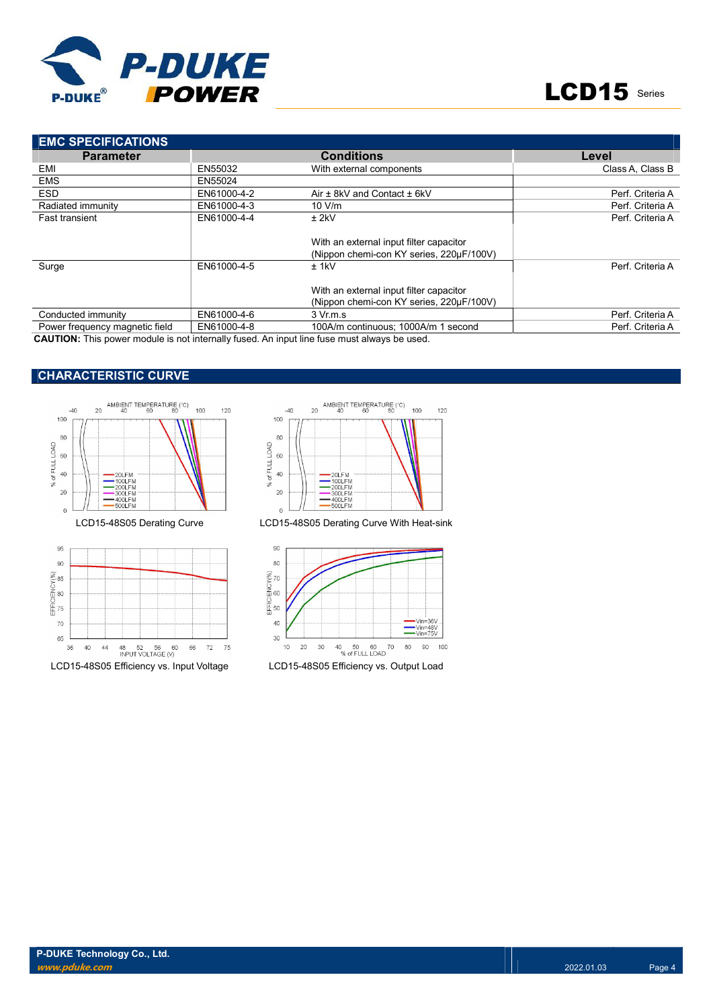

| <b>EMC SPECIFICATIONS</b>                                                                   |             |                                                                                     |                  |  |  |
|---------------------------------------------------------------------------------------------|-------------|-------------------------------------------------------------------------------------|------------------|--|--|
| <b>Parameter</b>                                                                            |             | <b>Conditions</b>                                                                   | Level            |  |  |
| EMI                                                                                         | EN55032     | With external components                                                            | Class A. Class B |  |  |
| <b>EMS</b>                                                                                  | EN55024     |                                                                                     |                  |  |  |
| <b>ESD</b>                                                                                  | EN61000-4-2 | Air $\pm$ 8kV and Contact $\pm$ 6kV                                                 | Perf. Criteria A |  |  |
| Radiated immunity                                                                           | EN61000-4-3 | 10 V/m                                                                              | Perf. Criteria A |  |  |
| <b>Fast transient</b>                                                                       | EN61000-4-4 | $±$ 2kV                                                                             | Perf. Criteria A |  |  |
|                                                                                             |             | With an external input filter capacitor<br>(Nippon chemi-con KY series, 220µF/100V) |                  |  |  |
| Surge                                                                                       | EN61000-4-5 | $±$ 1kV                                                                             | Perf. Criteria A |  |  |
|                                                                                             |             | With an external input filter capacitor<br>(Nippon chemi-con KY series, 220µF/100V) |                  |  |  |
| Conducted immunity                                                                          | EN61000-4-6 | 3 Vr.m.s                                                                            | Perf. Criteria A |  |  |
| Power frequency magnetic field                                                              | EN61000-4-8 | 100A/m continuous: 1000A/m 1 second                                                 | Perf. Criteria A |  |  |
| CALITION, This nouse module is not internally fused. An input line fuse must always be used |             |                                                                                     |                  |  |  |

CAUTION: This power module is not internally fused. An input line fuse must always be used.

## CHARACTERISTIC CURVE









LCD15-48S05 Efficiency vs. Input Voltage LCD15-48S05 Efficiency vs. Output Load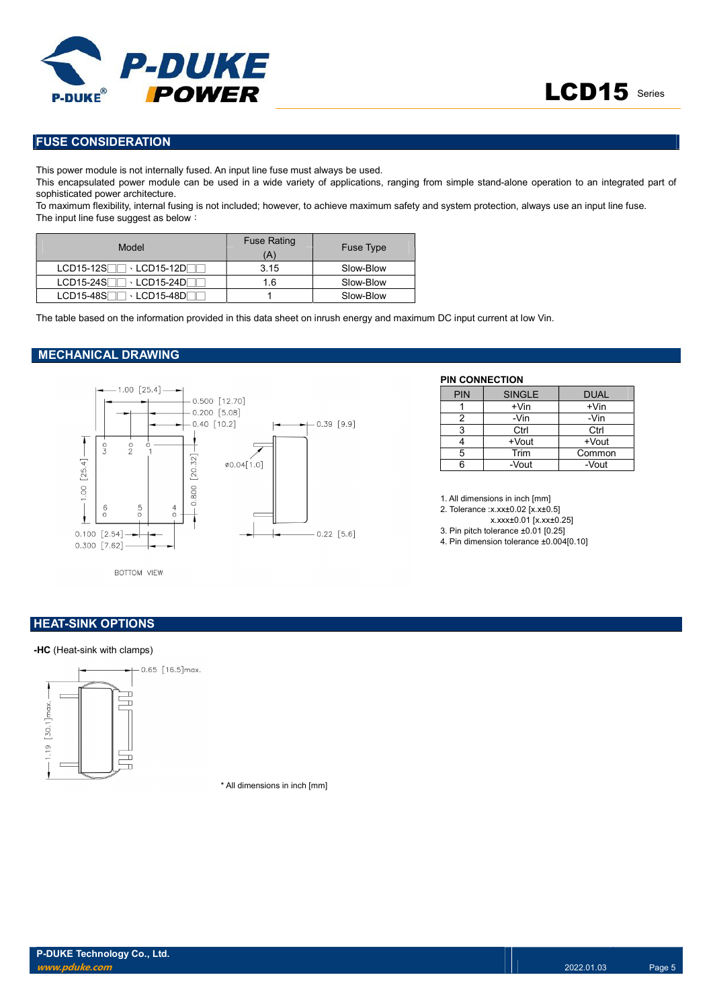

## FUSE CONSIDERATION

This power module is not internally fused. An input line fuse must always be used.

This encapsulated power module can be used in a wide variety of applications, ranging from simple stand-alone operation to an integrated part of sophisticated power architecture.

To maximum flexibility, internal fusing is not included; however, to achieve maximum safety and system protection, always use an input line fuse. The input line fuse suggest as below:

| Model                                   | <b>Fuse Rating</b><br>(A' | <b>Fuse Type</b> |
|-----------------------------------------|---------------------------|------------------|
| $LCD15-12S$<br>→ LCD15-12DΓ             | 3.15                      | Slow-Blow        |
| $LCD15-24S$<br>$\cdot$ LCD15-24D $\Box$ | 1.6                       | Slow-Blow        |
| LCD15-48S<br>→ LCD15-48DΓ               |                           | Slow-Blow        |

The table based on the information provided in this data sheet on inrush energy and maximum DC input current at low Vin.

#### MECHANICAL DRAWING



### PIN CONNECTION

| <b>PIN</b> | <b>SINGLE</b> | <b>DUAL</b> |
|------------|---------------|-------------|
|            | $+V$ in       | $+V$ in     |
| 2          | -Vin          | -Vin        |
| 3          | Ctrl          | Ctrl        |
|            | +Vout         | +Vout       |
| 5          | Trim          | Common      |
| ี่ค        | -Vout         | -Vout       |

1. All dimensions in inch [mm]

- 2. Tolerance :x.xx±0.02 [x.x±0.5]
- x.xxx±0.01 [x.xx±0.25]
- 3. Pin pitch tolerance ±0.01 [0.25]
- 4. Pin dimension tolerance ±0.004[0.10]

BOTTOM VIEW

### **HEAT-SINK OPTIONS**

#### -HC (Heat-sink with clamps)



\* All dimensions in inch [mm]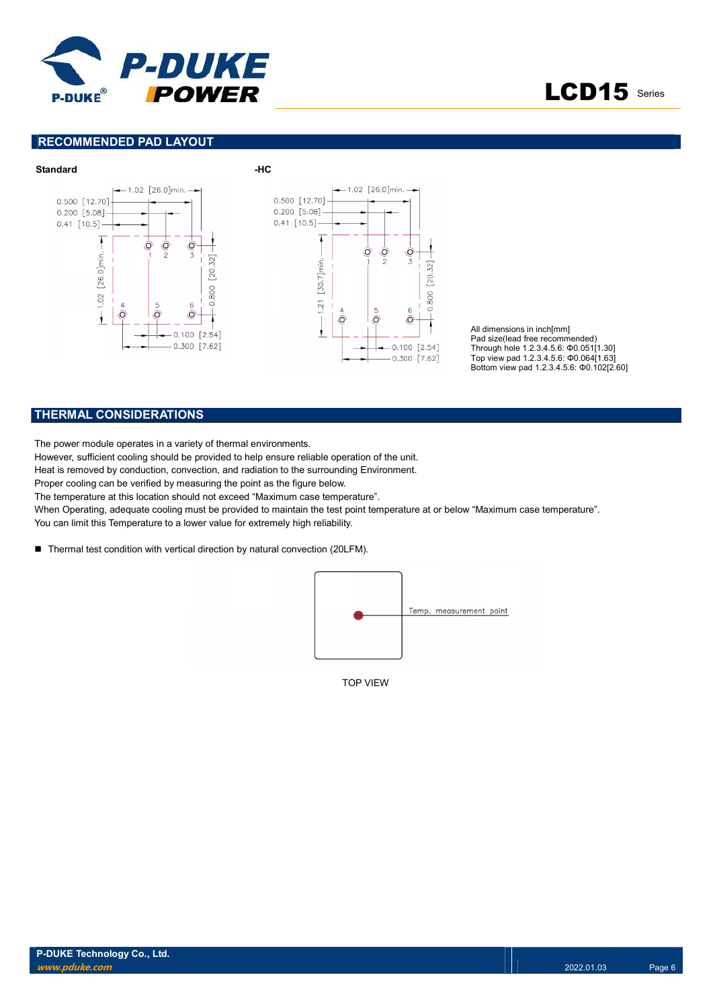



#### RECOMMENDED PAD LAYOUT



All dimensions in inch[mm] Pad size(lead free recommended) Through hole 1.2.3.4.5.6: Φ0.051[1.30] Top view pad 1.2.3.4.5.6: Φ0.064[1.63] Bottom view pad 1.2.3.4.5.6: Φ0.102[2.60]

### THERMAL CONSIDERATIONS

The power module operates in a variety of thermal environments.

However, sufficient cooling should be provided to help ensure reliable operation of the unit.

Heat is removed by conduction, convection, and radiation to the surrounding Environment.

Proper cooling can be verified by measuring the point as the figure below.

The temperature at this location should not exceed "Maximum case temperature".

When Operating, adequate cooling must be provided to maintain the test point temperature at or below "Maximum case temperature". You can limit this Temperature to a lower value for extremely high reliability.

■ Thermal test condition with vertical direction by natural convection (20LFM).



TOP VIEW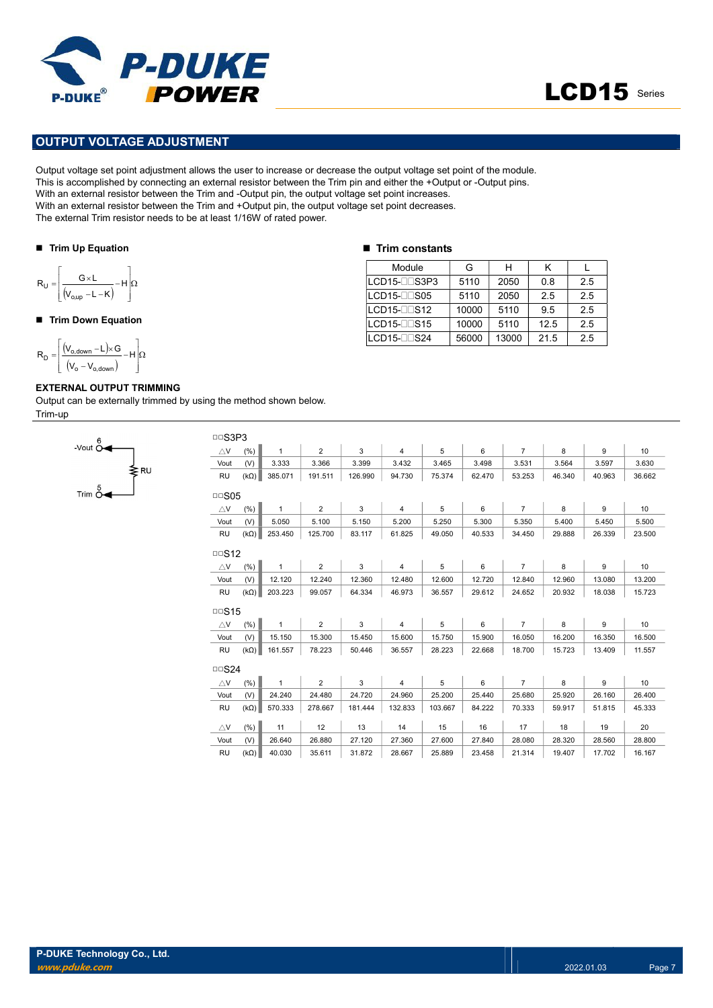

## OUTPUT VOLTAGE ADJUSTMENT

Output voltage set point adjustment allows the user to increase or decrease the output voltage set point of the module. This is accomplished by connecting an external resistor between the Trim pin and either the +Output or -Output pins. With an external resistor between the Trim and -Output pin, the output voltage set point increases. With an external resistor between the Trim and +Output pin, the output voltage set point decreases. The external Trim resistor needs to be at least 1/16W of rated power. **PUT VOLTAGE ADJUSTMENT**<br>
PUT VOLTAGE ADJUSTMENT<br>
voltage set point adjustment allows the user to increase or decrease the output voltage set point of the<br>
accomplished by connecting an external resistor between the Trim PUT VOLTAGE ADJUSTMENT<br>
PUT VOLTAGE ADJUSTMENT<br>
accomplished by connecting an external resistor between the Trim and -Output pin, the output voltage set point of the Cupin and<br>
accomplished by connecting an external resis **POWER**<br>
UIT VOLTAGE ADJUSTMENT<br>
voltage set point adjustment allows the user to increase or decrease the output voltage set point of the no<br>
accomplished by connecting an extend resistor between the Trim and Output pin,

#### ■ Trim Up Equation

$$
R_{U} = \left\lfloor \frac{G \times L}{(V_{o,up} - L - K)} - H \right\rfloor \Omega
$$

#### ■ Trim Down Equation

 H V V V L G R o o,down o,down D

Trim  $\stackrel{5}{\sim}$ 

#### EXTERNAL OUTPUT TRIMMING

≹RU

Output can be externally trimmed by using the method shown below. Trim-up

#### $\blacksquare$  Trim constants

| Module              | G     | н     | κ    |     |
|---------------------|-------|-------|------|-----|
| LCD15-OOS3P3        | 5110  | 2050  | 0.8  | 2.5 |
| $LCD15 - 505$       | 5110  | 2050  | 2.5  | 2.5 |
| LCD15-OOS12         | 10000 | 5110  | 9.5  | 2.5 |
| $LCD15 - $ $DS15$   | 10000 | 5110  | 12.5 | 2.5 |
| $LCD15-\square$ S24 | 56000 | 13000 | 21.5 | 2.5 |

| <b>DDS3P3</b>      |             |              |                |         |                |         |        |                |        |        |        |
|--------------------|-------------|--------------|----------------|---------|----------------|---------|--------|----------------|--------|--------|--------|
| $\triangle$ V      | (%)         | $\mathbf{1}$ | $\overline{2}$ | 3       | $\overline{4}$ | 5       | 6      | $\overline{7}$ | 8      | 9      | 10     |
| Vout               | (V)         | 3.333        | 3.366          | 3.399   | 3.432          | 3.465   | 3.498  | 3.531          | 3.564  | 3.597  | 3.630  |
| <b>RU</b>          | $(k\Omega)$ | 385.071      | 191.511        | 126.990 | 94.730         | 75.374  | 62.470 | 53.253         | 46.340 | 40.963 | 36.662 |
| $\Box$ SO5         |             |              |                |         |                |         |        |                |        |        |        |
| $\triangle$ V      | (%)         | $\mathbf{1}$ | $\overline{2}$ | 3       | $\overline{4}$ | 5       | 6      | $\overline{7}$ | 8      | 9      | 10     |
| Vout               | (V)         | 5.050        | 5.100          | 5.150   | 5.200          | 5.250   | 5.300  | 5.350          | 5.400  | 5.450  | 5.500  |
| <b>RU</b>          | $(k\Omega)$ | 253.450      | 125.700        | 83.117  | 61.825         | 49.050  | 40.533 | 34.450         | 29.888 | 26.339 | 23.500 |
| $\Box$ S12         |             |              |                |         |                |         |        |                |        |        |        |
| $\triangle$ V      | (%)         | $\mathbf{1}$ | $\overline{2}$ | 3       | $\overline{4}$ | 5       | 6      | $\overline{7}$ | 8      | 9      | 10     |
| Vout               | (V)         | 12.120       | 12.240         | 12.360  | 12.480         | 12.600  | 12.720 | 12.840         | 12.960 | 13.080 | 13.200 |
| <b>RU</b>          | $(k\Omega)$ | 203.223      | 99.057         | 64.334  | 46.973         | 36.557  | 29.612 | 24.652         | 20.932 | 18.038 | 15.723 |
| $\Box$ S15         |             |              |                |         |                |         |        |                |        |        |        |
| $\triangle$ V      | (%)         | $\mathbf{1}$ | $\overline{2}$ | 3       | $\overline{4}$ | 5       | 6      | $\overline{7}$ | 8      | 9      | 10     |
| Vout               | (V)         | 15.150       | 15.300         | 15.450  | 15.600         | 15.750  | 15.900 | 16.050         | 16.200 | 16.350 | 16.500 |
| <b>RU</b>          | $(k\Omega)$ | 161.557      | 78.223         | 50.446  | 36.557         | 28.223  | 22.668 | 18.700         | 15.723 | 13.409 | 11.557 |
| $\Box$ S24         |             |              |                |         |                |         |        |                |        |        |        |
| $\bigtriangleup$ V | (%)         | $\mathbf{1}$ | $\overline{2}$ | 3       | $\overline{4}$ | 5       | 6      | $\overline{7}$ | 8      | 9      | 10     |
| Vout               | (V)         | 24.240       | 24.480         | 24.720  | 24.960         | 25.200  | 25.440 | 25.680         | 25.920 | 26.160 | 26.400 |
| <b>RU</b>          | $(k\Omega)$ | 570.333      | 278.667        | 181.444 | 132.833        | 103.667 | 84.222 | 70.333         | 59.917 | 51.815 | 45.333 |
| $\triangle$ V      | (% )        | 11           | 12             | 13      | 14             | 15      | 16     | 17             | 18     | 19     | 20     |
| Vout               | (V)         | 26.640       | 26.880         | 27.120  | 27.360         | 27.600  | 27.840 | 28.080         | 28.320 | 28.560 | 28.800 |
| <b>RU</b>          | $(k\Omega)$ | 40.030       | 35.611         | 31.872  | 28.667         | 25.889  | 23.458 | 21.314         | 19.407 | 17.702 | 16.167 |